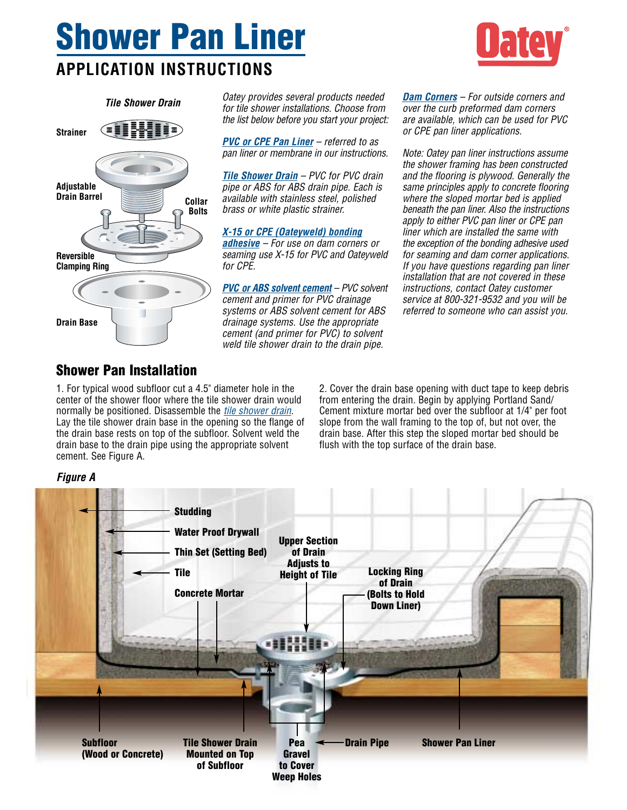## **Shower Pan Liner APPLICATION INSTRUCTIONS**



*Tile Shower Drain*  **Strainer Adjustable Drain Barrel Reversible Clamping Ring Drain Base Collar Bolts** *Oatey provides several products needed for tile shower installations. Choose from the list below before you start your project:*

*PVC or CPE Pan Liner – referred to as pan liner or membrane in our instructions.*

*Tile Shower Drain – PVC for PVC drain pipe or ABS for ABS drain pipe. Each is available with stainless steel, polished brass or white plastic strainer.*

*X-15 or CPE (Oateyweld) bonding adhesive – For use on dam corners or seaming use X-15 for PVC and Oateyweld for CPE.*

*PVC or ABS solvent cement – PVC solvent cement and primer for PVC drainage systems or ABS solvent cement for ABS drainage systems. Use the appropriate cement (and primer for PVC) to solvent weld tile shower drain to the drain pipe.*

*Dam Corners – For outside corners and over the curb preformed dam corners are available, which can be used for PVC or CPE pan liner applications.*

*Note: Oatey pan liner instructions assume the shower framing has been constructed and the flooring is plywood. Generally the same principles apply to concrete flooring where the sloped mortar bed is applied beneath the pan liner. Also the instructions apply to either PVC pan liner or CPE pan liner which are installed the same with the exception of the bonding adhesive used for seaming and dam corner applications. If you have questions regarding pan liner installation that are not covered in these instructions, contact Oatey customer service at 800-321-9532 and you will be referred to someone who can assist you.*

## **Shower Pan Installation**

1. For typical wood subfloor cut a 4.5" diameter hole in the center of the shower floor where the tile shower drain would normally be positioned. Disassemble the *tile shower drain*. Lay the tile shower drain base in the opening so the flange of the drain base rests on top of the subfloor. Solvent weld the drain base to the drain pipe using the appropriate solvent cement. See Figure A.

2. Cover the drain base opening with duct tape to keep debris from entering the drain. Begin by applying Portland Sand/ Cement mixture mortar bed over the subfloor at 1/4" per foot slope from the wall framing to the top of, but not over, the drain base. After this step the sloped mortar bed should be flush with the top surface of the drain base.



## *Figure A*